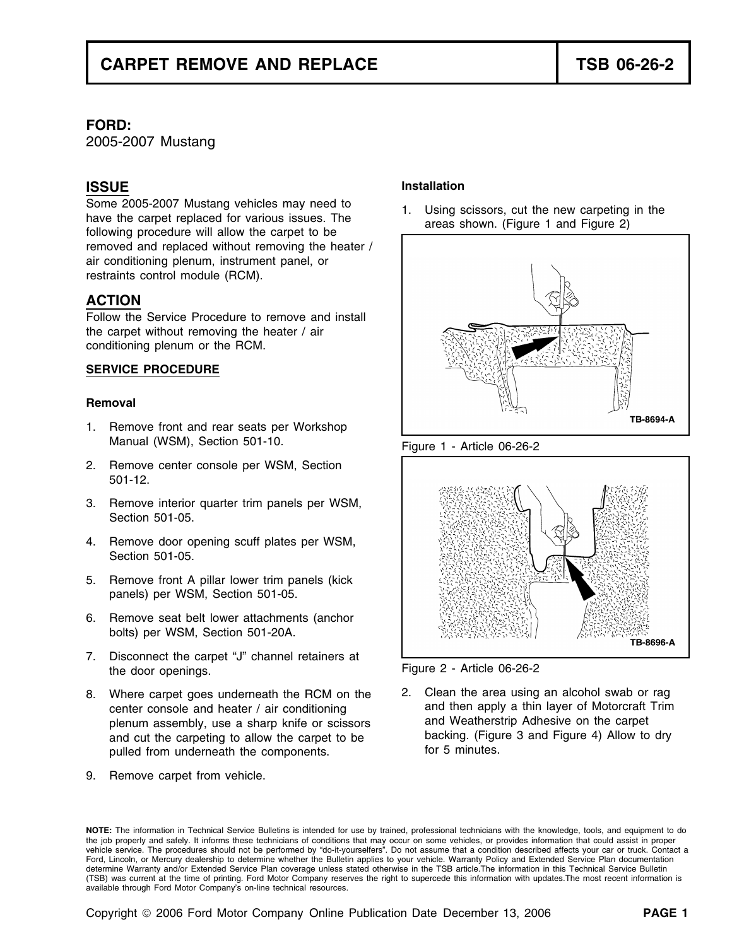# **FORD:**

2005-2007 Mustang

Some 2005-2007 Mustang vehicles may need to<br>have the carpet replaced for various issues. The<br>following procedure will allow the carpet to be<br> $\overline{ }$  areas shown. (Figure 1 and Figure 2) removed and replaced without removing the heater / air conditioning plenum, instrument panel, or restraints control module (RCM).

# **ACTION**

Follow the Service Procedure to remove and install the carpet without removing the heater / air conditioning plenum or the RCM.

### **SERVICE PROCEDURE**

### **Removal**

- 1. Remove front and rear seats per Workshop Manual (WSM), Section 501-10. Figure 1 - Article 06-26-2
- 2. Remove center console per WSM, Section 501-12.
- 3. Remove interior quarter trim panels per WSM, Section 501-05.
- 4. Remove door opening scuff plates per WSM, Section 501-05.
- 5. Remove front A pillar lower trim panels (kick panels) per WSM, Section 501-05.
- 6. Remove seat belt lower attachments (anchor bolts) per WSM, Section 501-20A.
- 7. Disconnect the carpet "J" channel retainers at the door openings. The door openings.
- center console and heater / air conditioning and then apply a thin layer of Motorcraft<br>
plenum assembly use a sharp knife or scissors and Weatherstrip Adhesive on the carpet and cut the carpeting to allow the carpet to be backing. (Figure 3 and cut the carpet 4) and Figure 3 and Figure 4. pulled from underneath the components.
- 9. Remove carpet from vehicle.

# **Installation ISSUE**







8. Where carpet goes underneath the RCM on the 2. Clean the area using an alcohol swab or rag<br>center console and heater / air conditioning and then apply a thin layer of Motorcraft Trim plenum assembly, use a sharp knife or scissors and Weatherstrip Adhesive on the carpet<br>and cut the carpeting to allow the carpet to be and backing. (Figure 3 and Figure 4) Allow to dry

**NOTE:** The information in Technical Service Bulletins is intended for use by trained, professional technicians with the knowledge, tools, and equipment to do the job properly and safely. It informs these technicians of conditions that may occur on some vehicles, or provides information that could assist in proper vehicle service. The procedures should not be performed by "do-it-yourselfers". Do not assume that a condition described affects your car or truck. Contact a Ford, Lincoln, or Mercury dealership to determine whether the Bulletin applies to your vehicle. Warranty Policy and Extended Service Plan documentation determine Warranty and/or Extended Service Plan coverage unless stated otherwise in the TSB article.The information in this Technical Service Bulletin (TSB) was current at the time of printing. Ford Motor Company reserves the right to supercede this information with updates.The most recent information is available through Ford Motor Company's on-line technical resources.